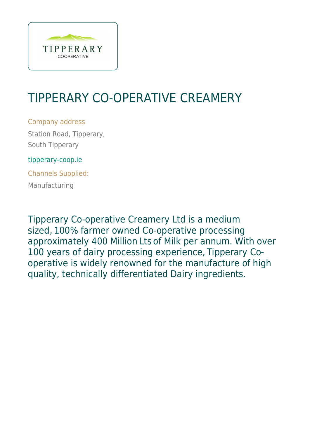

# TIPPERARY CO-OPERATIVE CREAMERY

#### Company address

Station Road, Tipperary, South Tipperary

[tipperary-coop.ie](http://www.tipperary-coop.ie/)

Channels Supplied:

Manufacturing

Tipperary Co-operative Creamery Ltd is a medium sized, 100% farmer owned Co-operative processing approximately 400 Million Lts of Milk per annum. With over 100 years of dairy processing experience, Tipperary Cooperative is widely renowned for the manufacture of high quality, technically differentiated Dairy ingredients.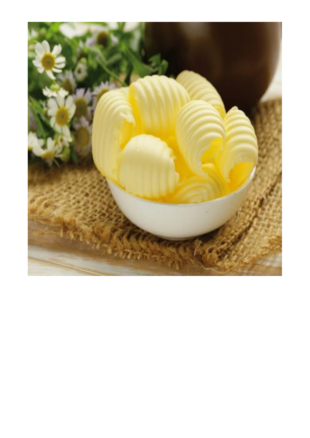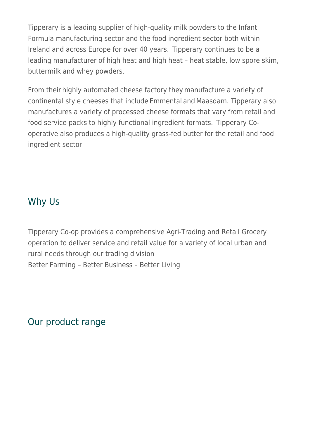Tipperary is a leading supplier of high-quality milk powders to the Infant Formula manufacturing sector and the food ingredient sector both within Ireland and across Europe for over 40 years.  Tipperary continues to be a leading manufacturer of high heat and high heat – heat stable, low spore skim, buttermilk and whey powders. 

From their highly automated cheese factory they manufacture a variety of continental style cheeses that include Emmental and Maasdam. Tipperary also manufactures a variety of processed cheese formats that vary from retail and food service packs to highly functional ingredient formats.  Tipperary Cooperative also produces a high-quality grass-fed butter for the retail and food ingredient sector 

### Why Us

Tipperary Co-op provides a comprehensive Agri-Trading and Retail Grocery operation to deliver service and retail value for a variety of local urban and rural needs through our trading division Better Farming – Better Business – Better Living

### Our product range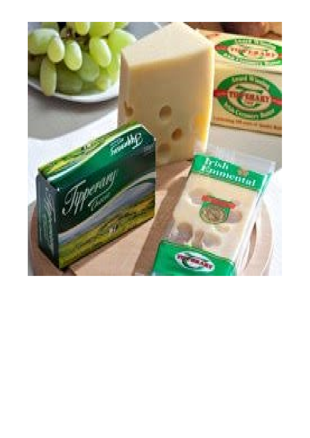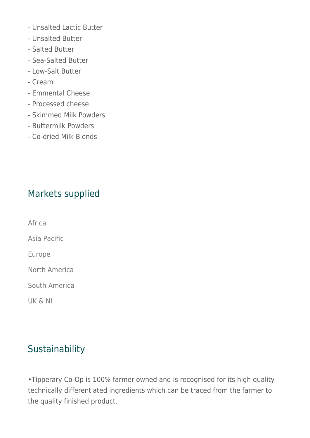- Unsalted Lactic Butter
- Unsalted Butter
- Salted Butter
- Sea-Salted Butter
- Low-Salt Butter
- Cream
- Emmental Cheese
- Processed cheese
- Skimmed Milk Powders
- Buttermilk Powders
- Co-dried Milk Blends

# Markets supplied

Africa

Asia Pacific

Europe

North America

South America

UK & NI

# **Sustainability**

•Tipperary Co-Op is 100% farmer owned and is recognised for its high quality technically differentiated ingredients which can be traced from the farmer to the quality finished product.